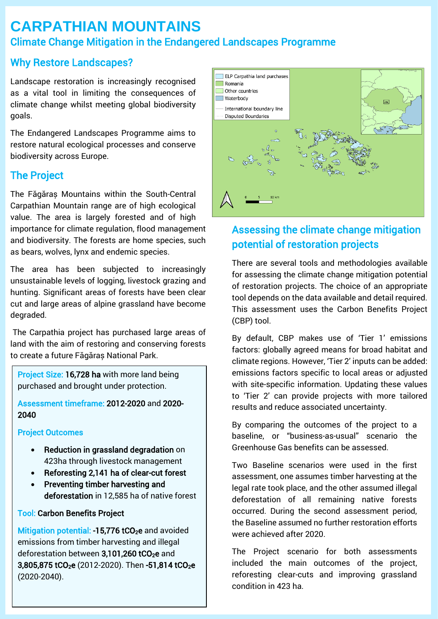# **CARPATHIAN MOUNTAINS** Climate Change Mitigation in the Endangered Landscapes Programme

### Why Restore Landscapes?

Landscape restoration is increasingly recognised as a vital tool in limiting the consequences of climate change whilst meeting global biodiversity goals.

The Endangered Landscapes Programme aims to restore natural ecological processes and conserve biodiversity across Europe.

## The Project

The Făgăraș Mountains within the South-Central Carpathian Mountain range are of high ecological value. The area is largely forested and of high importance for climate regulation, flood management and biodiversity. The forests are home species, such as bears, wolves, lynx and endemic species.

The area has been subjected to increasingly unsustainable levels of logging, livestock grazing and hunting. Significant areas of forests have been clear cut and large areas of alpine grassland have become degraded.

The Carpathia project has purchased large areas of land with the aim of restoring and conserving forests to create a future Făgăraș National Park.

Project Size: 16,728 ha with more land being purchased and brought under protection.

Assessment timeframe: 2012-2020 and 2020- 2040

#### Project Outcomes

- Reduction in grassland degradation on 423ha through livestock management
- Reforesting 2,141 ha of clear-cut forest
- Preventing timber harvesting and deforestation in 12,585 ha of native forest

### Tool: Carbon Benefits Project

Mitigation potential:  $-15,776$  tCO<sub>2</sub>e and avoided emissions from timber harvesting and illegal deforestation between  $3,101,260$  tCO<sub>2</sub>e and 3,805,875 tCO<sub>2</sub>e (2012-2020). Then -51,814 tCO<sub>2</sub>e (2020-2040).



## Assessing the climate change mitigation potential of restoration projects

There are several tools and methodologies available for assessing the climate change mitigation potential of restoration projects. The choice of an appropriate tool depends on the data available and detail required. This assessment uses the Carbon Benefits Project (CBP) tool.

By default, CBP makes use of 'Tier 1' emissions factors: globally agreed means for broad habitat and climate regions. However, 'Tier 2' inputs can be added: emissions factors specific to local areas or adjusted with site-specific information. Updating these values to 'Tier 2' can provide projects with more tailored results and reduce associated uncertainty.

By comparing the outcomes of the project to a baseline, or "business-as-usual" scenario the Greenhouse Gas benefits can be assessed.

Two Baseline scenarios were used in the first assessment, one assumes timber harvesting at the legal rate took place, and the other assumed illegal deforestation of all remaining native forests occurred. During the second assessment period, the Baseline assumed no further restoration efforts were achieved after 2020.

The Project scenario for both assessments included the main outcomes of the project, reforesting clear-cuts and improving grassland condition in 423 ha.